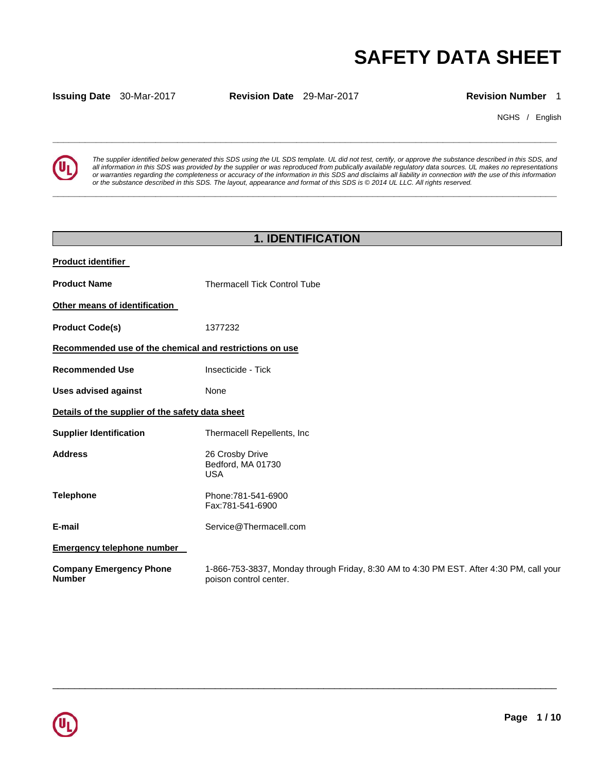# **SAFETY DATA SHEET**

**Issuing Date** 30-Mar-2017 **Revision Date** 29-Mar-2017 **Revision Number** 1

**\_\_\_\_\_\_\_\_\_\_\_\_\_\_\_\_\_\_\_\_\_\_\_\_\_\_\_\_\_\_\_\_\_\_\_\_\_\_\_\_\_\_\_\_\_\_\_\_\_\_\_\_\_\_\_\_\_\_\_\_\_\_\_\_\_\_\_\_\_\_\_\_\_\_\_\_\_\_\_\_\_\_\_\_\_\_\_\_\_\_\_\_\_** 

**\_\_\_\_\_\_\_\_\_\_\_\_\_\_\_\_\_\_\_\_\_\_\_\_\_\_\_\_\_\_\_\_\_\_\_\_\_\_\_\_\_\_\_\_\_\_\_\_\_\_\_\_\_\_\_\_\_\_\_\_\_\_\_\_\_\_\_\_\_\_\_\_\_\_\_\_\_\_\_\_\_\_\_\_\_\_\_\_\_\_\_\_\_** 

NGHS / English



*The supplier identified below generated this SDS using the UL SDS template. UL did not test, certify, or approve the substance described in this SDS, and all information in this SDS was provided by the supplier or was reproduced from publically available regulatory data sources. UL makes no representations or warranties regarding the completeness or accuracy of the information in this SDS and disclaims all liability in connection with the use of this information or the substance described in this SDS. The layout, appearance and format of this SDS is © 2014 UL LLC. All rights reserved.* 

# **1. IDENTIFICATION**

| <b>Product identifier</b>                               |                                                                                                                   |  |  |
|---------------------------------------------------------|-------------------------------------------------------------------------------------------------------------------|--|--|
| <b>Product Name</b>                                     | <b>Thermacell Tick Control Tube</b>                                                                               |  |  |
| Other means of identification                           |                                                                                                                   |  |  |
| <b>Product Code(s)</b>                                  | 1377232                                                                                                           |  |  |
| Recommended use of the chemical and restrictions on use |                                                                                                                   |  |  |
| <b>Recommended Use</b>                                  | Insecticide - Tick                                                                                                |  |  |
| <b>Uses advised against</b>                             | None                                                                                                              |  |  |
| Details of the supplier of the safety data sheet        |                                                                                                                   |  |  |
| <b>Supplier Identification</b>                          | Thermacell Repellents, Inc                                                                                        |  |  |
| <b>Address</b>                                          | 26 Crosby Drive<br>Bedford, MA 01730<br><b>USA</b>                                                                |  |  |
| <b>Telephone</b>                                        | Phone: 781-541-6900<br>Fax:781-541-6900                                                                           |  |  |
| E-mail                                                  | Service@Thermacell.com                                                                                            |  |  |
| <b>Emergency telephone number</b>                       |                                                                                                                   |  |  |
| <b>Company Emergency Phone</b><br><b>Number</b>         | 1-866-753-3837, Monday through Friday, 8:30 AM to 4:30 PM EST. After 4:30 PM, call your<br>poison control center. |  |  |

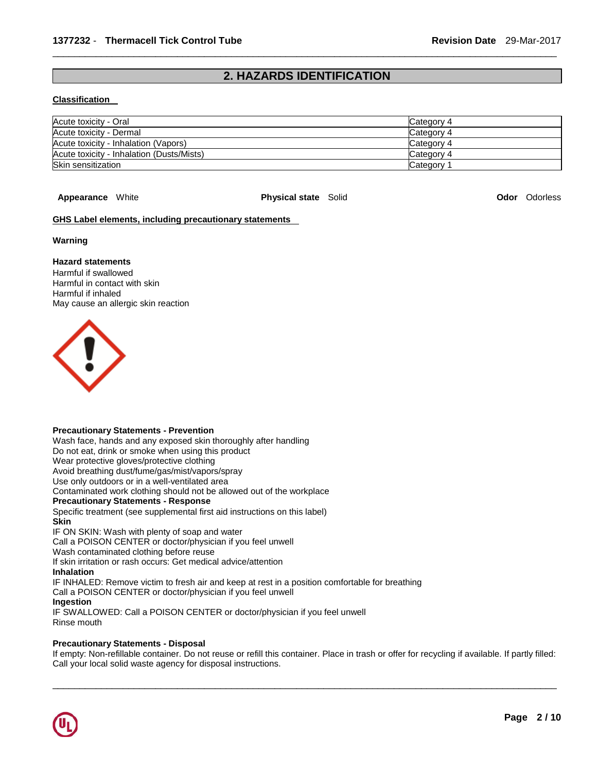# **2. HAZARDS IDENTIFICATION**

\_\_\_\_\_\_\_\_\_\_\_\_\_\_\_\_\_\_\_\_\_\_\_\_\_\_\_\_\_\_\_\_\_\_\_\_\_\_\_\_\_\_\_\_\_\_\_\_\_\_\_\_\_\_\_\_\_\_\_\_\_\_\_\_\_\_\_\_\_\_\_\_\_\_\_\_\_\_\_\_\_\_\_\_\_\_\_\_\_\_\_\_\_

#### **Classification**

| Acute toxicity - Oral                     | Category 4            |
|-------------------------------------------|-----------------------|
| Acute toxicity - Dermal                   | Category 4            |
| Acute toxicity - Inhalation (Vapors)      | Category 4            |
| Acute toxicity - Inhalation (Dusts/Mists) | Category 4            |
| Skin sensitization                        | Category <sup>2</sup> |

**Appearance** White **Physical state** Solid **Odor** Odorless

#### **GHS Label elements, including precautionary statements**

#### **Warning**

#### **Hazard statements**

Harmful if swallowed Harmful in contact with skin Harmful if inhaled May cause an allergic skin reaction



#### **Precautionary Statements - Prevention**

Wash face, hands and any exposed skin thoroughly after handling

Do not eat, drink or smoke when using this product

Wear protective gloves/protective clothing

Avoid breathing dust/fume/gas/mist/vapors/spray

Use only outdoors or in a well-ventilated area Contaminated work clothing should not be allowed out of the workplace

**Precautionary Statements - Response**

Specific treatment (see supplemental first aid instructions on this label)

#### **Skin**

IF ON SKIN: Wash with plenty of soap and water

Call a POISON CENTER or doctor/physician if you feel unwell

Wash contaminated clothing before reuse

If skin irritation or rash occurs: Get medical advice/attention

**Inhalation**

IF INHALED: Remove victim to fresh air and keep at rest in a position comfortable for breathing

Call a POISON CENTER or doctor/physician if you feel unwell

#### **Ingestion**

IF SWALLOWED: Call a POISON CENTER or doctor/physician if you feel unwell Rinse mouth

#### **Precautionary Statements - Disposal**

If empty: Non-refillable container. Do not reuse or refill this container. Place in trash or offer for recycling if available. If partly filled: Call your local solid waste agency for disposal instructions.

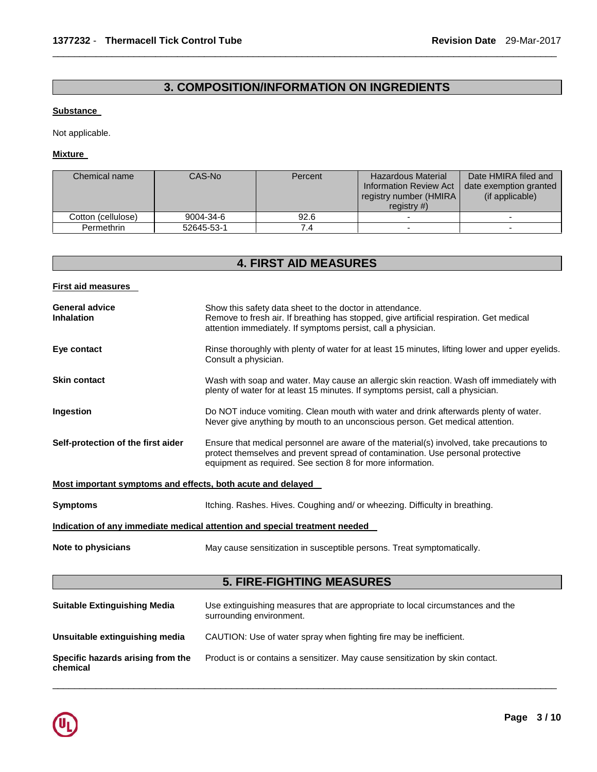# **3. COMPOSITION/INFORMATION ON INGREDIENTS**

\_\_\_\_\_\_\_\_\_\_\_\_\_\_\_\_\_\_\_\_\_\_\_\_\_\_\_\_\_\_\_\_\_\_\_\_\_\_\_\_\_\_\_\_\_\_\_\_\_\_\_\_\_\_\_\_\_\_\_\_\_\_\_\_\_\_\_\_\_\_\_\_\_\_\_\_\_\_\_\_\_\_\_\_\_\_\_\_\_\_\_\_\_

#### **Substance**

Not applicable.

**Mixture** 

| Chemical name      | CAS-No     | Percent | <b>Hazardous Material</b><br><b>Information Review Act</b><br>registry number (HMIRA)<br>registry $#$ ) | Date HMIRA filed and<br>date exemption granted<br>(if applicable) |
|--------------------|------------|---------|---------------------------------------------------------------------------------------------------------|-------------------------------------------------------------------|
| Cotton (cellulose) | 9004-34-6  | 92.6    | $\overline{\phantom{0}}$                                                                                |                                                                   |
| Permethrin         | 52645-53-1 | 74      | $\overline{\phantom{0}}$                                                                                |                                                                   |

# **4. FIRST AID MEASURES**

#### **First aid measures**

| <b>General advice</b><br><b>Inhalation</b>                  | Show this safety data sheet to the doctor in attendance.<br>Remove to fresh air. If breathing has stopped, give artificial respiration. Get medical<br>attention immediately. If symptoms persist, call a physician.                      |  |  |
|-------------------------------------------------------------|-------------------------------------------------------------------------------------------------------------------------------------------------------------------------------------------------------------------------------------------|--|--|
| Eye contact                                                 | Rinse thoroughly with plenty of water for at least 15 minutes, lifting lower and upper eyelids.<br>Consult a physician.                                                                                                                   |  |  |
| <b>Skin contact</b>                                         | Wash with soap and water. May cause an allergic skin reaction. Wash off immediately with<br>plenty of water for at least 15 minutes. If symptoms persist, call a physician.                                                               |  |  |
| Ingestion                                                   | Do NOT induce vomiting. Clean mouth with water and drink afterwards plenty of water.<br>Never give anything by mouth to an unconscious person. Get medical attention.                                                                     |  |  |
| Self-protection of the first aider                          | Ensure that medical personnel are aware of the material(s) involved, take precautions to<br>protect themselves and prevent spread of contamination. Use personal protective<br>equipment as required. See section 8 for more information. |  |  |
| Most important symptoms and effects, both acute and delayed |                                                                                                                                                                                                                                           |  |  |
| <b>Symptoms</b>                                             | Itching. Rashes. Hives. Coughing and/ or wheezing. Difficulty in breathing.                                                                                                                                                               |  |  |
|                                                             | Indication of any immediate medical attention and special treatment needed                                                                                                                                                                |  |  |
| Note to physicians                                          | May cause sensitization in susceptible persons. Treat symptomatically.                                                                                                                                                                    |  |  |
|                                                             | <b>5. FIRE-FIGHTING MEASURES</b>                                                                                                                                                                                                          |  |  |
| <b>Suitable Extinguishing Media</b>                         | Use extinguishing measures that are appropriate to local circumstances and the<br>surrounding environment.                                                                                                                                |  |  |
| Unsuitable extinguishing media                              | CAUTION: Use of water spray when fighting fire may be inefficient.                                                                                                                                                                        |  |  |
| Specific hazards arising from the<br>chemical               | Product is or contains a sensitizer. May cause sensitization by skin contact.                                                                                                                                                             |  |  |

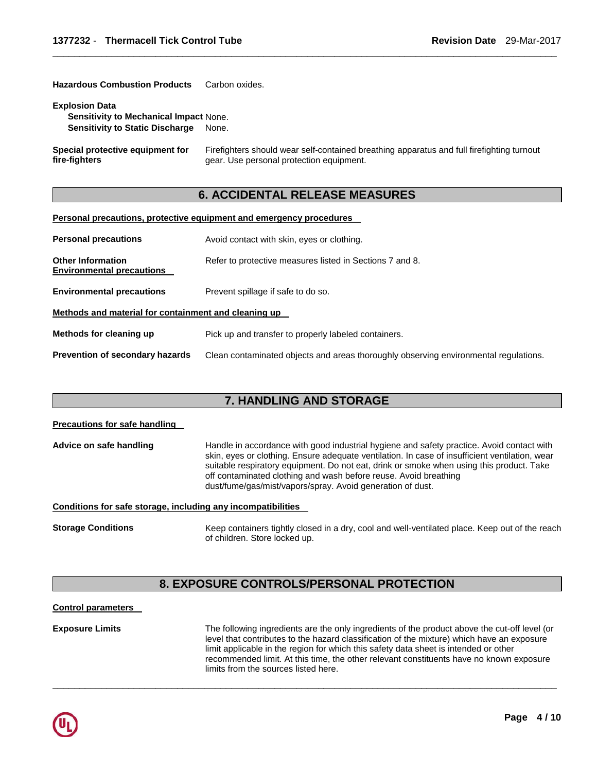| <b>Hazardous Combustion Products</b>                            | Carbon oxides.                                                                                                                        |
|-----------------------------------------------------------------|---------------------------------------------------------------------------------------------------------------------------------------|
| <b>Explosion Data</b><br>Sensitivity to Mechanical Impact None. |                                                                                                                                       |
| <b>Sensitivity to Static Discharge</b>                          | None.                                                                                                                                 |
| <b>Special protective equipment for</b><br>fire-fiqhters        | Firefighters should wear self-contained breathing apparatus and full firefighting turnout<br>gear. Use personal protection equipment. |

\_\_\_\_\_\_\_\_\_\_\_\_\_\_\_\_\_\_\_\_\_\_\_\_\_\_\_\_\_\_\_\_\_\_\_\_\_\_\_\_\_\_\_\_\_\_\_\_\_\_\_\_\_\_\_\_\_\_\_\_\_\_\_\_\_\_\_\_\_\_\_\_\_\_\_\_\_\_\_\_\_\_\_\_\_\_\_\_\_\_\_\_\_

# **6. ACCIDENTAL RELEASE MEASURES**

#### **Personal precautions, protective equipment and emergency procedures**

| <b>Personal precautions</b>                                  | Avoid contact with skin, eyes or clothing.                                           |  |
|--------------------------------------------------------------|--------------------------------------------------------------------------------------|--|
| <b>Other Information</b><br><b>Environmental precautions</b> | Refer to protective measures listed in Sections 7 and 8.                             |  |
| <b>Environmental precautions</b>                             | Prevent spillage if safe to do so.                                                   |  |
| Methods and material for containment and cleaning up         |                                                                                      |  |
| Methods for cleaning up                                      | Pick up and transfer to properly labeled containers.                                 |  |
| Prevention of secondary hazards                              | Clean contaminated objects and areas thoroughly observing environmental regulations. |  |

### **7. HANDLING AND STORAGE**

# **Precautions for safe handling Advice on safe handling** Handle in accordance with good industrial hygiene and safety practice. Avoid contact with skin, eyes or clothing. Ensure adequate ventilation. In case of insufficient ventilation, wear suitable respiratory equipment. Do not eat, drink or smoke when using this product. Take off contaminated clothing and wash before reuse. Avoid breathing dust/fume/gas/mist/vapors/spray. Avoid generation of dust. **Conditions for safe storage, including any incompatibilities Storage Conditions** Keep containers tightly closed in a dry, cool and well-ventilated place. Keep out of the reach of children. Store locked up.

# **8. EXPOSURE CONTROLS/PERSONAL PROTECTION**

#### **Control parameters**

**Exposure Limits** The following ingredients are the only ingredients of the product above the cut-off level (or level that contributes to the hazard classification of the mixture) which have an exposure limit applicable in the region for which this safety data sheet is intended or other recommended limit. At this time, the other relevant constituents have no known exposure limits from the sources listed here.

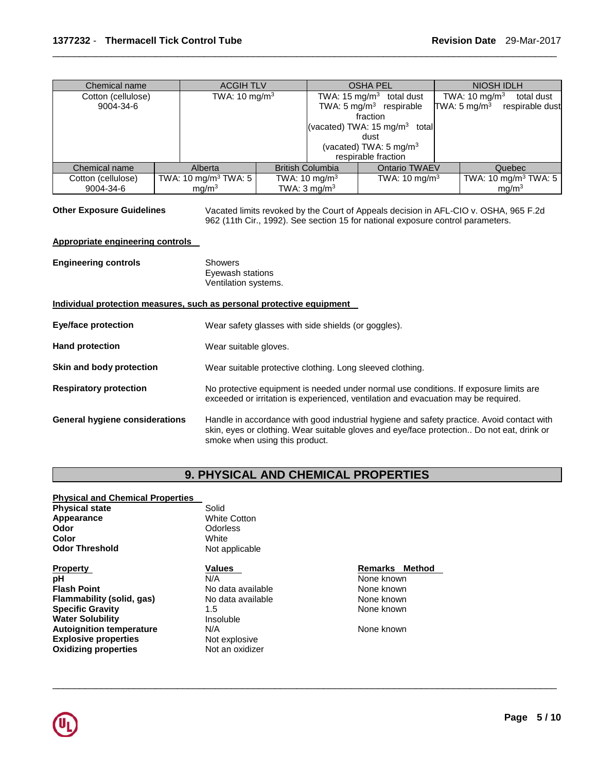| Chemical name      | <b>ACGIH TLV</b>                             |  | <b>OSHA PEL</b>           |          | <b>NIOSH IDLH</b>                        |  |                          |                                  |
|--------------------|----------------------------------------------|--|---------------------------|----------|------------------------------------------|--|--------------------------|----------------------------------|
| Cotton (cellulose) | TWA: 10 mg/m <sup>3</sup>                    |  |                           |          | TWA: $15 \text{ mg/m}^3$ total dust      |  | TWA: $10 \text{ mg/m}^3$ | total dust                       |
| 9004-34-6          |                                              |  |                           |          | TWA: $5 \text{ mg/m}^3$ respirable       |  | TWA: $5 \text{ mg/m}^3$  | respirable dust                  |
|                    |                                              |  |                           | fraction |                                          |  |                          |                                  |
|                    |                                              |  |                           |          | (vacated) TWA: $15 \text{ mg/m}^3$ total |  |                          |                                  |
|                    |                                              |  |                           | dust     |                                          |  |                          |                                  |
|                    |                                              |  |                           |          | (vacated) TWA: 5 mg/m <sup>3</sup>       |  |                          |                                  |
|                    |                                              |  |                           |          | respirable fraction                      |  |                          |                                  |
| Chemical name      | Alberta                                      |  | <b>British Columbia</b>   |          | <b>Ontario TWAEV</b>                     |  |                          | Quebec                           |
| Cotton (cellulose) | TWA: 10 mg/m <sup>3</sup> TWA: 5             |  | TWA: 10 mg/m <sup>3</sup> |          | TWA: $10 \text{ mg/m}^3$                 |  |                          | TWA: 10 mg/m <sup>3</sup> TWA: 5 |
| 9004-34-6          | TWA: $3 \text{ mg/m}^3$<br>mg/m <sup>3</sup> |  |                           |          |                                          |  |                          | mg/m <sup>3</sup>                |

\_\_\_\_\_\_\_\_\_\_\_\_\_\_\_\_\_\_\_\_\_\_\_\_\_\_\_\_\_\_\_\_\_\_\_\_\_\_\_\_\_\_\_\_\_\_\_\_\_\_\_\_\_\_\_\_\_\_\_\_\_\_\_\_\_\_\_\_\_\_\_\_\_\_\_\_\_\_\_\_\_\_\_\_\_\_\_\_\_\_\_\_\_

**Other Exposure Guidelines** Vacated limits revoked by the Court of Appeals decision in AFL-CIO v. OSHA, 965 F.2d 962 (11th Cir., 1992). See section 15 for national exposure control parameters.

#### **Appropriate engineering controls**

| <b>Engineering controls</b>           | <b>Showers</b><br>Eyewash stations<br>Ventilation systems.                                                                                                                                                               |
|---------------------------------------|--------------------------------------------------------------------------------------------------------------------------------------------------------------------------------------------------------------------------|
|                                       | Individual protection measures, such as personal protective equipment                                                                                                                                                    |
| <b>Eye/face protection</b>            | Wear safety glasses with side shields (or goggles).                                                                                                                                                                      |
| <b>Hand protection</b>                | Wear suitable gloves.                                                                                                                                                                                                    |
| Skin and body protection              | Wear suitable protective clothing. Long sleeved clothing.                                                                                                                                                                |
| <b>Respiratory protection</b>         | No protective equipment is needed under normal use conditions. If exposure limits are<br>exceeded or irritation is experienced, ventilation and evacuation may be required.                                              |
| <b>General hygiene considerations</b> | Handle in accordance with good industrial hygiene and safety practice. Avoid contact with<br>skin, eyes or clothing. Wear suitable gloves and eye/face protection Do not eat, drink or<br>smoke when using this product. |

# **9. PHYSICAL AND CHEMICAL PROPERTIES**

\_\_\_\_\_\_\_\_\_\_\_\_\_\_\_\_\_\_\_\_\_\_\_\_\_\_\_\_\_\_\_\_\_\_\_\_\_\_\_\_\_\_\_\_\_\_\_\_\_\_\_\_\_\_\_\_\_\_\_\_\_\_\_\_\_\_\_\_\_\_\_\_\_\_\_\_\_\_\_\_\_\_\_\_\_\_\_\_\_\_\_\_\_

#### **Physical and Chemical Properties**

| <b>Physical state</b>           | Solid               |                |  |
|---------------------------------|---------------------|----------------|--|
| Appearance                      | <b>White Cotton</b> |                |  |
| Odor                            | Odorless            |                |  |
| Color                           | White               |                |  |
| <b>Odor Threshold</b>           | Not applicable      |                |  |
| <b>Property</b>                 | <b>Values</b>       | Remarks Method |  |
| рH                              | N/A                 | None known     |  |
| <b>Flash Point</b>              | No data available   | None known     |  |
| Flammability (solid, gas)       | No data available   | None known     |  |
| <b>Specific Gravity</b>         | 1.5                 | None known     |  |
| <b>Water Solubility</b>         | Insoluble           |                |  |
| <b>Autoignition temperature</b> | N/A                 | None known     |  |
| <b>Explosive properties</b>     | Not explosive       |                |  |
| <b>Oxidizing properties</b>     | Not an oxidizer     |                |  |
|                                 |                     |                |  |

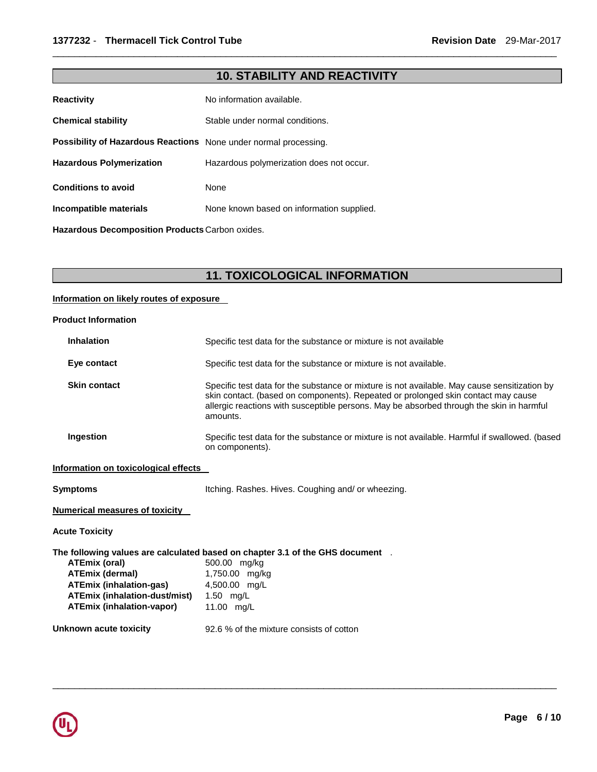# **10. STABILITY AND REACTIVITY**

\_\_\_\_\_\_\_\_\_\_\_\_\_\_\_\_\_\_\_\_\_\_\_\_\_\_\_\_\_\_\_\_\_\_\_\_\_\_\_\_\_\_\_\_\_\_\_\_\_\_\_\_\_\_\_\_\_\_\_\_\_\_\_\_\_\_\_\_\_\_\_\_\_\_\_\_\_\_\_\_\_\_\_\_\_\_\_\_\_\_\_\_\_

| <b>Reactivity</b>                                                | No information available.                 |  |
|------------------------------------------------------------------|-------------------------------------------|--|
| <b>Chemical stability</b>                                        | Stable under normal conditions.           |  |
| Possibility of Hazardous Reactions None under normal processing. |                                           |  |
| <b>Hazardous Polymerization</b>                                  | Hazardous polymerization does not occur.  |  |
| <b>Conditions to avoid</b>                                       | <b>None</b>                               |  |
| Incompatible materials                                           | None known based on information supplied. |  |
| Hazardous Decomposition Products Carbon oxides.                  |                                           |  |

**11. TOXICOLOGICAL INFORMATION** 

#### **Information on likely routes of exposure**

| <b>Inhalation</b>                                                                                                                                     | Specific test data for the substance or mixture is not available                                                                                                                                                                                                                          |
|-------------------------------------------------------------------------------------------------------------------------------------------------------|-------------------------------------------------------------------------------------------------------------------------------------------------------------------------------------------------------------------------------------------------------------------------------------------|
| Eye contact                                                                                                                                           | Specific test data for the substance or mixture is not available.                                                                                                                                                                                                                         |
| <b>Skin contact</b>                                                                                                                                   | Specific test data for the substance or mixture is not available. May cause sensitization by<br>skin contact. (based on components). Repeated or prolonged skin contact may cause<br>allergic reactions with susceptible persons. May be absorbed through the skin in harmful<br>amounts. |
| Ingestion                                                                                                                                             | Specific test data for the substance or mixture is not available. Harmful if swallowed. (based<br>on components).                                                                                                                                                                         |
| Information on toxicological effects                                                                                                                  |                                                                                                                                                                                                                                                                                           |
| <b>Symptoms</b>                                                                                                                                       | Itching. Rashes. Hives. Coughing and/ or wheezing.                                                                                                                                                                                                                                        |
| <b>Numerical measures of toxicity</b>                                                                                                                 |                                                                                                                                                                                                                                                                                           |
| <b>Acute Toxicity</b>                                                                                                                                 |                                                                                                                                                                                                                                                                                           |
| <b>ATEmix (oral)</b><br><b>ATEmix (dermal)</b><br><b>ATEmix (inhalation-gas)</b><br>ATEmix (inhalation-dust/mist)<br><b>ATEmix (inhalation-vapor)</b> | The following values are calculated based on chapter 3.1 of the GHS document $\;\;$ .<br>500.00 mg/kg<br>1,750.00 mg/kg<br>4,500.00 mg/L<br>1.50 mg/L<br>11.00 mg/L                                                                                                                       |
| Unknown acute toxicity                                                                                                                                | 92.6 % of the mixture consists of cotton                                                                                                                                                                                                                                                  |

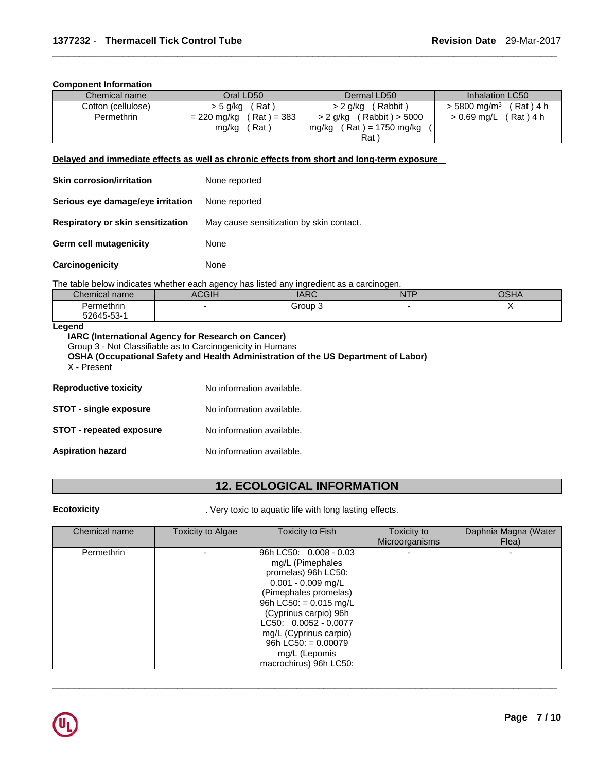#### **Component Information**

| Chemical name      | Oral LD50                                      | Dermal LD50                                                  | Inhalation LC50                          |
|--------------------|------------------------------------------------|--------------------------------------------------------------|------------------------------------------|
| Cotton (cellulose) | (Rat)<br>> 5 g/kg                              | (Rabbit)<br>> 2 a/ka                                         | $> 5800 \; \text{ma/m}^3$<br>$(Rat)$ 4 h |
| Permethrin         | $(Rat) = 383$<br>= 220 mg/kg<br>(Rat)<br>mg/kg | (Rabbit) > 5000<br>> 2 g/kg<br>$(Rat) = 1750$ mg/kg<br>mg/kg | $> 0.69$ mg/L (Rat) 4 h                  |
|                    |                                                | Rat \                                                        |                                          |

\_\_\_\_\_\_\_\_\_\_\_\_\_\_\_\_\_\_\_\_\_\_\_\_\_\_\_\_\_\_\_\_\_\_\_\_\_\_\_\_\_\_\_\_\_\_\_\_\_\_\_\_\_\_\_\_\_\_\_\_\_\_\_\_\_\_\_\_\_\_\_\_\_\_\_\_\_\_\_\_\_\_\_\_\_\_\_\_\_\_\_\_\_

#### **Delayed and immediate effects as well as chronic effects from short and long-term exposure**

| <b>Skin corrosion/irritation</b>  | None reported                            |
|-----------------------------------|------------------------------------------|
| Serious eye damage/eye irritation | None reported                            |
| Respiratory or skin sensitization | May cause sensitization by skin contact. |
| Germ cell mutagenicity            | None                                     |
| Carcinogenicity                   | None                                     |

The table below indicates whether each agency has listed any ingredient as a carcinogen.

| $\sim$<br>Chemical name | $\sim$<br>AUGII. | <b>IARC</b> | <b>NTF</b> | ∩ല⊿<br>UJNA |
|-------------------------|------------------|-------------|------------|-------------|
| Permethrin              |                  | Group 3     |            |             |
| 52645-53-1              |                  |             |            |             |

**Legend** 

**IARC (International Agency for Research on Cancer)** Group 3 - Not Classifiable as to Carcinogenicity in Humans **OSHA (Occupational Safety and Health Administration of the US Department of Labor)** X - Present

| <b>Reproductive toxicity</b>    | No information available. |
|---------------------------------|---------------------------|
| <b>STOT - single exposure</b>   | No information available. |
| <b>STOT - repeated exposure</b> | No information available. |
| <b>Aspiration hazard</b>        | No information available. |

# **12. ECOLOGICAL INFORMATION**

**Ecotoxicity Example 20 CONSIDER 1997 ATTLE VERY TOXIC TO AQUATE:** Very toxic to aquatic life with long lasting effects.

| Chemical name | Toxicity to Algae | Toxicity to Fish                                                                                                                                                                                                                                                                               | Toxicity to<br>Microorganisms | Daphnia Magna (Water<br>Flea) |
|---------------|-------------------|------------------------------------------------------------------------------------------------------------------------------------------------------------------------------------------------------------------------------------------------------------------------------------------------|-------------------------------|-------------------------------|
| Permethrin    |                   | 96h LC50: 0.008 - 0.03<br>mg/L (Pimephales<br>promelas) 96h LC50:<br>$0.001 - 0.009$ mg/L<br>(Pimephales promelas)<br>96h LC50: = $0.015$ mg/L<br>(Cyprinus carpio) 96h<br>LC50: 0.0052 - 0.0077<br>mg/L (Cyprinus carpio)<br>96h LC50: $= 0.00079$<br>mg/L (Lepomis<br>macrochirus) 96h LC50: |                               |                               |

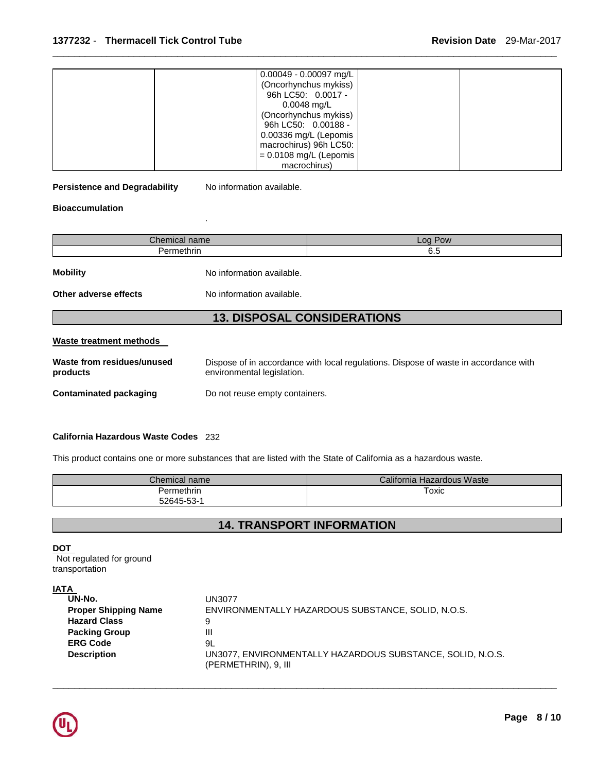| $0.00049 - 0.00097$ mg/L |  |
|--------------------------|--|
| (Oncorhynchus mykiss)    |  |
| 96h LC50: 0.0017 -       |  |
| $0.0048$ mg/L            |  |
| (Oncorhynchus mykiss)    |  |
| 96h LC50: 0.00188 -      |  |
| 0.00336 mg/L (Lepomis    |  |
| macrochirus) 96h LC50:   |  |
| $= 0.0108$ mg/L (Lepomis |  |
| macrochirus)             |  |

\_\_\_\_\_\_\_\_\_\_\_\_\_\_\_\_\_\_\_\_\_\_\_\_\_\_\_\_\_\_\_\_\_\_\_\_\_\_\_\_\_\_\_\_\_\_\_\_\_\_\_\_\_\_\_\_\_\_\_\_\_\_\_\_\_\_\_\_\_\_\_\_\_\_\_\_\_\_\_\_\_\_\_\_\_\_\_\_\_\_\_\_\_

**Persistence and Degradability** No information available.

.

**Bioaccumulation** 

| Chemical name                            |                                                        | Log Pow |  |
|------------------------------------------|--------------------------------------------------------|---------|--|
| Permethrin                               |                                                        | 6.5     |  |
| <b>Mobility</b><br>Other adverse effects | No information available.<br>No information available. |         |  |
|                                          | <b>13. DISPOSAL CONSIDERATIONS</b>                     |         |  |
| <b>Waste treatment methods</b>           |                                                        |         |  |

| Waste from residues/unused | Dispose of in accordance with local regulations. Dispose of waste in accordance with |
|----------------------------|--------------------------------------------------------------------------------------|
| products                   | environmental legislation.                                                           |
| Contaminated packaging     | Do not reuse empty containers.                                                       |

#### **California Hazardous Waste Codes** 232

This product contains one or more substances that are listed with the State of California as a hazardous waste.

| $\mathcal L$ hemical name $\mathcal L$ | California Hazardous Waste |
|----------------------------------------|----------------------------|
| Permethrin_                            | Toxic                      |
| 52645-53-1                             |                            |

# **14. TRANSPORT INFORMATION**

\_\_\_\_\_\_\_\_\_\_\_\_\_\_\_\_\_\_\_\_\_\_\_\_\_\_\_\_\_\_\_\_\_\_\_\_\_\_\_\_\_\_\_\_\_\_\_\_\_\_\_\_\_\_\_\_\_\_\_\_\_\_\_\_\_\_\_\_\_\_\_\_\_\_\_\_\_\_\_\_\_\_\_\_\_\_\_\_\_\_\_\_\_

|--|

Not regulated for ground transportation

# **IATA**

| <b>UN3077</b>                                                                      |
|------------------------------------------------------------------------------------|
| ENVIRONMENTALLY HAZARDOUS SUBSTANCE, SOLID, N.O.S.                                 |
| 9                                                                                  |
| Ш                                                                                  |
| 9L                                                                                 |
| UN3077, ENVIRONMENTALLY HAZARDOUS SUBSTANCE, SOLID, N.O.S.<br>(PERMETHRIN), 9, III |
|                                                                                    |

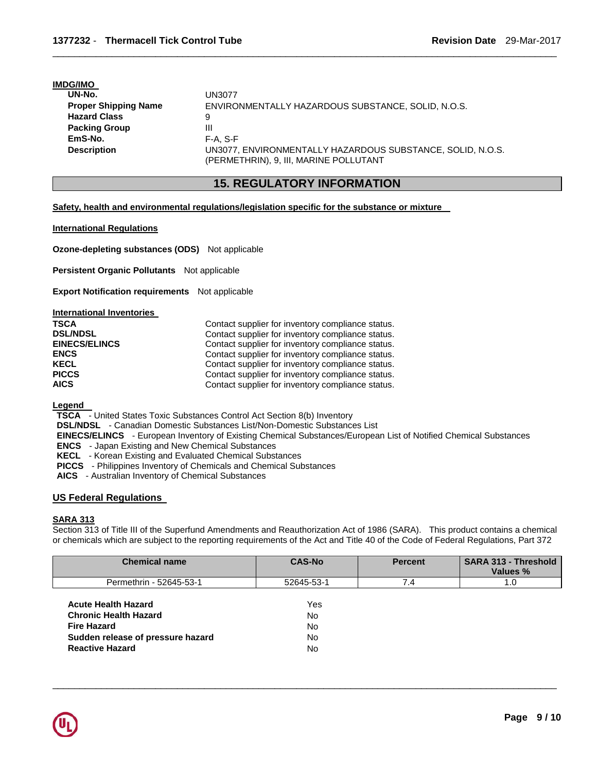#### **IMDG/IMO**

| UN-No.                      | <b>UN3077</b>                                              |
|-----------------------------|------------------------------------------------------------|
| <b>Proper Shipping Name</b> | ENVIRONMENTALLY HAZARDOUS SUBSTANCE, SOLID, N.O.S.         |
| <b>Hazard Class</b>         | 9                                                          |
| <b>Packing Group</b>        | Ш                                                          |
| EmS-No.                     | $F-A. S-F$                                                 |
| <b>Description</b>          | UN3077, ENVIRONMENTALLY HAZARDOUS SUBSTANCE, SOLID, N.O.S. |
|                             | (PERMETHRIN), 9, III, MARINE POLLUTANT                     |

# **15. REGULATORY INFORMATION**

\_\_\_\_\_\_\_\_\_\_\_\_\_\_\_\_\_\_\_\_\_\_\_\_\_\_\_\_\_\_\_\_\_\_\_\_\_\_\_\_\_\_\_\_\_\_\_\_\_\_\_\_\_\_\_\_\_\_\_\_\_\_\_\_\_\_\_\_\_\_\_\_\_\_\_\_\_\_\_\_\_\_\_\_\_\_\_\_\_\_\_\_\_

**Safety, health and environmental regulations/legislation specific for the substance or mixture** 

#### **International Regulations**

**Ozone-depleting substances (ODS)** Not applicable

**Persistent Organic Pollutants** Not applicable

**Export Notification requirements** Not applicable

| International Inventories |                                                   |
|---------------------------|---------------------------------------------------|
| <b>TSCA</b>               | Contact supplier for inventory compliance status. |
| <b>DSL/NDSL</b>           | Contact supplier for inventory compliance status. |
| <b>EINECS/ELINCS</b>      | Contact supplier for inventory compliance status. |
| <b>ENCS</b>               | Contact supplier for inventory compliance status. |
| <b>KECL</b>               | Contact supplier for inventory compliance status. |
| <b>PICCS</b>              | Contact supplier for inventory compliance status. |
| <b>AICS</b>               | Contact supplier for inventory compliance status. |

**Legend** 

**TSCA** - United States Toxic Substances Control Act Section 8(b) Inventory

**DSL/NDSL** - Canadian Domestic Substances List/Non-Domestic Substances List

**EINECS/ELINCS** - European Inventory of Existing Chemical Substances/European List of Notified Chemical Substances

**ENCS** - Japan Existing and New Chemical Substances

**KECL** - Korean Existing and Evaluated Chemical Substances

**PICCS** - Philippines Inventory of Chemicals and Chemical Substances

**AICS** - Australian Inventory of Chemical Substances

### **US Federal Regulations**

### **SARA 313**

Section 313 of Title III of the Superfund Amendments and Reauthorization Act of 1986 (SARA). This product contains a chemical or chemicals which are subject to the reporting requirements of the Act and Title 40 of the Code of Federal Regulations, Part 372

| <b>Chemical name</b>              | <b>CAS-No</b> | <b>Percent</b> | <b>SARA 313 - Threshold</b><br>Values % |
|-----------------------------------|---------------|----------------|-----------------------------------------|
| Permethrin - 52645-53-1           | 52645-53-1    | 7.4            | 1.0                                     |
| <b>Acute Health Hazard</b>        | Yes           |                |                                         |
| <b>Chronic Health Hazard</b>      | <b>No</b>     |                |                                         |
| <b>Fire Hazard</b>                | <b>No</b>     |                |                                         |
| Sudden release of pressure hazard | No.           |                |                                         |
| <b>Reactive Hazard</b>            | No.           |                |                                         |